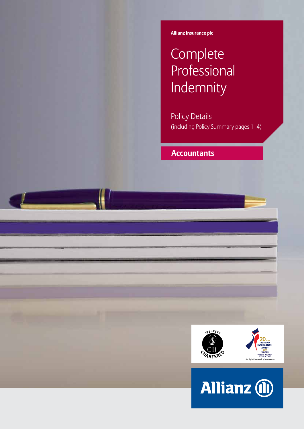**Allianz Insurance plc**

# **Complete** Professional Indemnity

Policy Details (including Policy Summary pages 1–4)

## **Accountants**



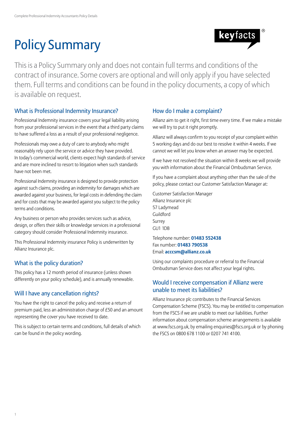# Policy Summary



This is a Policy Summary only and does not contain full terms and conditions of the contract of insurance. Some covers are optional and will only apply if you have selected them. Full terms and conditions can be found in the policy documents, a copy of which is available on request.

## What is Professional Indemnity Insurance?

Professional Indemnity insurance covers your legal liability arising from your professional services in the event that a third party claims to have suffered a loss as a result of your professional negligence.

Professionals may owe a duty of care to anybody who might reasonably rely upon the service or advice they have provided. In today's commercial world, clients expect high standards of service and are more inclined to resort to litigation when such standards have not been met.

Professional Indemnity insurance is designed to provide protection against such claims, providing an indemnity for damages which are awarded against your business, for legal costs in defending the claim and for costs that may be awarded against you subject to the policy terms and conditions.

Any business or person who provides services such as advice, design, or offers their skills or knowledge services in a professional category should consider Professional Indemnity insurance.

This Professional Indemnity insurance Policy is underwritten by Allianz Insurance plc.

## What is the policy duration?

This policy has a 12 month period of insurance (unless shown differently on your policy schedule), and is annually renewable.

## Will I have any cancellation rights?

You have the right to cancel the policy and receive a return of premium paid, less an administration charge of £50 and an amount representing the cover you have received to date.

This is subject to certain terms and conditions, full details of which can be found in the policy wording.

## How do I make a complaint?

Allianz aim to get it right, first time every time. If we make a mistake we will try to put it right promptly.

Allianz will always confirm to you receipt of your complaint within 5 working days and do our best to resolve it within 4 weeks. If we cannot we will let you know when an answer may be expected.

If we have not resolved the situation within 8 weeks we will provide you with information about the Financial Ombudsman Service.

If you have a complaint about anything other than the sale of the policy, please contact our Customer Satisfaction Manager at:

Customer Satisfaction Manager Allianz Insurance plc 57 Ladymead Guildford Surrey GU1 1DB

Telephone number: **01483 552438** Fax number: **01483 790538** Email: **acccsm@allianz.co.uk**

Using our complaints procedure or referral to the Financial Ombudsman Service does not affect your legal rights.

## Would I receive compensation if Allianz were unable to meet its liabilities?

Allianz Insurance plc contributes to the Financial Services Compensation Scheme (FSCS). You may be entitled to compensation from the FSCS if we are unable to meet our liabilities. Further information about compensation scheme arrangements is available at www.fscs.org.uk, by emailing enquiries@fscs.org.uk or by phoning the FSCS on 0800 678 1100 or 0207 741 4100.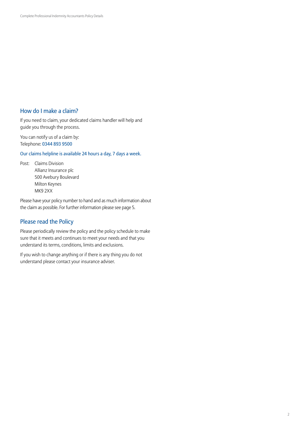## How do I make a claim?

If you need to claim, your dedicated claims handler will help and guide you through the process.

You can notify us of a claim by: Telephone: 0344 893 9500

Our claims helpline is available 24 hours a day, 7 days a week.

Post: Claims Division Allianz Insurance plc 500 Avebury Boulevard Milton Keynes MK9 2XX

Please have your policy number to hand and as much information about the claim as possible. For further information please see page 5.

## Please read the Policy

Please periodically review the policy and the policy schedule to make sure that it meets and continues to meet your needs and that you understand its terms, conditions, limits and exclusions.

If you wish to change anything or if there is any thing you do not understand please contact your insurance adviser.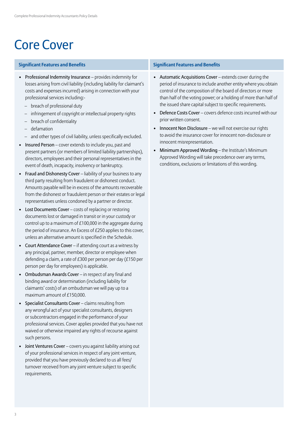## Core Cover

### **Significant Features and Benefits Significant Features and Benefits**

- Professional Indemnity Insurance provides indemnity for losses arising from civil liability (including liability for claimant's costs and expenses incurred) arising in connection with your professional services including:-
	- breach of professional duty
	- infringement of copyright or intellectual property rights
	- breach of confidentiality
	- defamation
	- and other types of civil liability, unless specifically excluded.
- Insured Person cover extends to include you, past and present partners (or members of limited liability partnerships), directors, employees and their personal representatives in the event of death, incapacity, insolvency or bankruptcy.
- Fraud and Dishonesty Cover liability of your business to any third party resulting from fraudulent or dishonest conduct. Amounts payable will be in excess of the amounts recoverable from the dishonest or fraudulent person or their estates or legal representatives unless condoned by a partner or director.
- Lost Documents Cover costs of replacing or restoring documents lost or damaged in transit or in your custody or control up to a maximum of £100,000 in the aggregate during the period of insurance. An Excess of £250 applies to this cover, unless an alternative amount is specified in the Schedule.
- Court Attendance Cover if attending court as a witness by any principal, partner, member, director or employee when defending a claim, a rate of £300 per person per day (£150 per person per day for employees) is applicable.
- Ombudsman Awards Cover in respect of any final and binding award or determination (including liability for claimants' costs) of an ombudsman we will pay up to a maximum amount of £150,000.
- Specialist Consultants Cover claims resulting from any wrongful act of your specialist consultants, designers or subcontractors engaged in the performance of your professional services. Cover applies provided that you have not waived or otherwise impaired any rights of recourse against such persons.
- Joint Ventures Cover covers you against liability arising out of your professional services in respect of any joint venture, provided that you have previously declared to us all fees/ turnover received from any joint venture subject to specific requirements.

- Automatic Acquisitions Cover extends cover during the period of insurance to include another entity where you obtain control of the composition of the board of directors or more than half of the voting power; or a holding of more than half of the issued share capital subject to specific requirements.
- Defence Costs Cover covers defence costs incurred with our prior written consent.
- Innocent Non Disclosure we will not exercise our rights to avoid the insurance cover for innocent non-disclosure or innocent misrepresentation.
- Minimum Approved Wording the Institute's Minimum Approved Wording will take precedence over any terms, conditions, exclusions or limitations of this wording.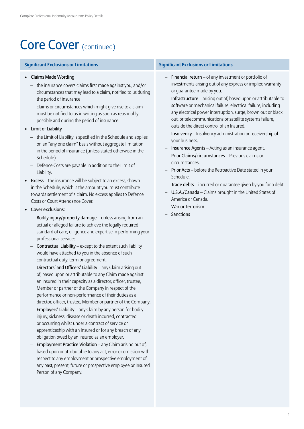## Core Cover (continued)

- Claims Made Wording
	- the insurance covers claims first made against you, and/or circumstances that may lead to a claim, notified to us during the period of insurance
	- claims or circumstances which might give rise to a claim must be notified to us in writing as soon as reasonably possible and during the period of insurance.
- Limit of Liability
	- the Limit of Liability is specified in the Schedule and applies on an "any one claim" basis without aggregate limitation in the period of insurance (unless stated otherwise in the Schedule)
	- Defence Costs are payable in addition to the Limit of Liability.
- Excess the insurance will be subject to an excess, shown in the Schedule, which is the amount you must contribute towards settlement of a claim. No excess applies to Defence Costs or Court Attendance Cover.
- Cover exclusions:
	- Bodily injury/property damage unless arising from an actual or alleged failure to achieve the legally required standard of care, diligence and expertise in performing your professional services.
	- Contractual Liability except to the extent such liability would have attached to you in the absence of such contractual duty, term or agreement.
	- Directors' and Officers' Liability any Claim arising out of, based upon or attributable to any Claim made against an Insured in their capacity as a director, officer, trustee, Member or partner of the Company in respect of the performance or non-performance of their duties as a director, officer, trustee, Member or partner of the Company.
	- Employers' Liability any Claim by any person for bodily injury, sickness, disease or death incurred, contracted or occurring whilst under a contract of service or apprenticeship with an Insured or for any breach of any obligation owed by an Insured as an employer.
	- Employment Practice Violation any Claim arising out of, based upon or attributable to any act, error or omission with respect to any employment or prospective employment of any past, present, future or prospective employee or Insured Person of any Company.

### **Significant Exclusions or Limitations Significant Exclusions or Limitations**

- **Financial return** of any investment or portfolio of investments arising out of any express or implied warranty or guarantee made by you.
- Infrastructure arising out of, based upon or attributable to software or mechanical failure, electrical failure, including any electrical power interruption, surge, brown out or black out, or telecommunications or satellite systems failure, outside the direct control of an Insured.
- Insolvency Insolvency administration or receivership of your business.
- Insurance Agents Acting as an insurance agent.
- Prior Claims/circumstances Previous claims or circumstances.
- Prior Acts before the Retroactive Date stated in your Schedule.
- Trade debts incurred or guarantee given by you for a debt.
- U.S.A./Canada Claims brought in the United States of America or Canada.
- War or Terrorism
- Sanctions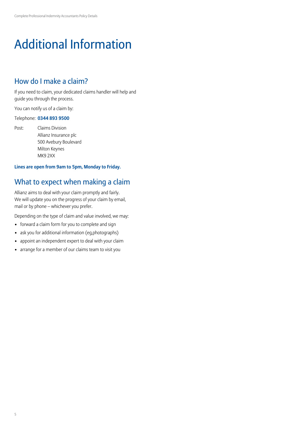## Additional Information

## How do I make a claim?

If you need to claim, your dedicated claims handler will help and guide you through the process.

You can notify us of a claim by:

### Telephone: **0344 893 9500**

Post: Claims Division Allianz Insurance plc 500 Avebury Boulevard Milton Keynes MK9 2XX

### **Lines are open from 9am to 5pm, Monday to Friday.**

## What to expect when making a claim

Allianz aims to deal with your claim promptly and fairly. We will update you on the progress of your claim by email, mail or by phone – whichever you prefer.

Depending on the type of claim and value involved, we may:

- forward a claim form for you to complete and sign
- ask you for additional information (eg,photographs)
- appoint an independent expert to deal with your claim
- arrange for a member of our claims team to visit you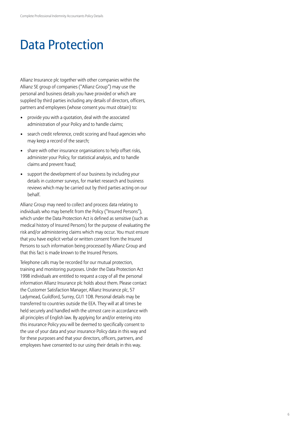## Data Protection

Allianz Insurance plc together with other companies within the Allianz SE group of companies ("Allianz Group") may use the personal and business details you have provided or which are supplied by third parties including any details of directors, officers, partners and employees (whose consent you must obtain) to:

- provide you with a quotation, deal with the associated administration of your Policy and to handle claims;
- search credit reference, credit scoring and fraud agencies who may keep a record of the search;
- share with other insurance organisations to help offset risks, administer your Policy, for statistical analysis, and to handle claims and prevent fraud;
- support the development of our business by including your details in customer surveys, for market research and business reviews which may be carried out by third parties acting on our behalf.

Allianz Group may need to collect and process data relating to individuals who may benefit from the Policy ("Insured Persons"), which under the Data Protection Act is defined as sensitive (such as medical history of Insured Persons) for the purpose of evaluating the risk and/or administering claims which may occur. You must ensure that you have explicit verbal or written consent from the Insured Persons to such information being processed by Allianz Group and that this fact is made known to the Insured Persons.

Telephone calls may be recorded for our mutual protection, training and monitoring purposes. Under the Data Protection Act 1998 individuals are entitled to request a copy of all the personal information Allianz Insurance plc holds about them. Please contact the Customer Satisfaction Manager, Allianz Insurance plc, 57 Ladymead, Guildford, Surrey, GU1 1DB. Personal details may be transferred to countries outside the EEA. They will at all times be held securely and handled with the utmost care in accordance with all principles of English law. By applying for and/or entering into this insurance Policy you will be deemed to specifically consent to the use of your data and your insurance Policy data in this way and for these purposes and that your directors, officers, partners, and employees have consented to our using their details in this way.